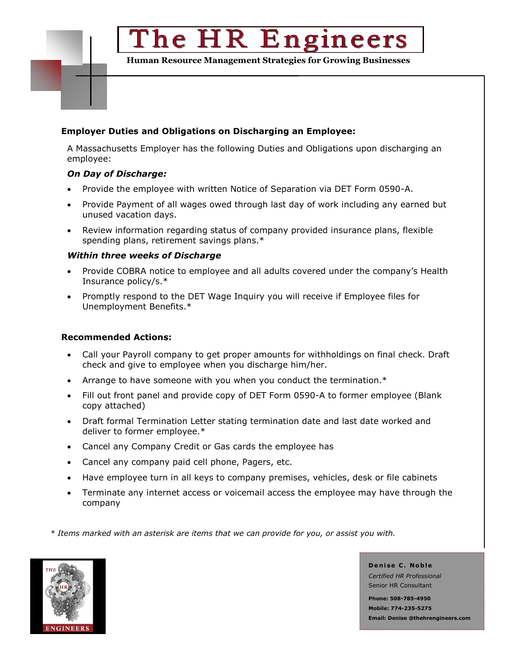## The HR Engineers

**Human Resource Management Strategies for Growing Businesses**

### **Employer Duties and Obligations on Discharging an Employee:**

A Massachusetts Employer has the following Duties and Obligations upon discharging an employee:

#### *On Day of Discharge:*

- Provide the employee with written Notice of Separation via DET Form 0590-A.
- Provide Payment of all wages owed through last day of work including any earned but unused vacation days.
- Review information regarding status of company provided insurance plans, flexible spending plans, retirement savings plans.\*

#### *Within three weeks of Discharge*

- Provide COBRA notice to employee and all adults covered under the company's Health Insurance policy/s.\*
- Promptly respond to the DET Wage Inquiry you will receive if Employee files for Unemployment Benefits.\*

#### **Recommended Actions:**

- Call your Payroll company to get proper amounts for withholdings on final check. Draft check and give to employee when you discharge him/her.
- Arrange to have someone with you when you conduct the termination.\*
- Fill out front panel and provide copy of DET Form 0590-A to former employee (Blank copy attached)
- Draft formal Termination Letter stating termination date and last date worked and deliver to former employee.\*
- Cancel any Company Credit or Gas cards the employee has
- Cancel any company paid cell phone, Pagers, etc.
- Have employee turn in all keys to company premises, vehicles, desk or file cabinets
- Terminate any internet access or voicemail access the employee may have through the company

 *\* Items marked with an asterisk are items that we can provide for you, or assist you with.*



**D e n i se C . No b l e** *Certified HR Professional* Senior HR Consultant

**Phone: 508-785-4950 Mobile: 774-235-5275 Email: Denise @thehrengineers.com**